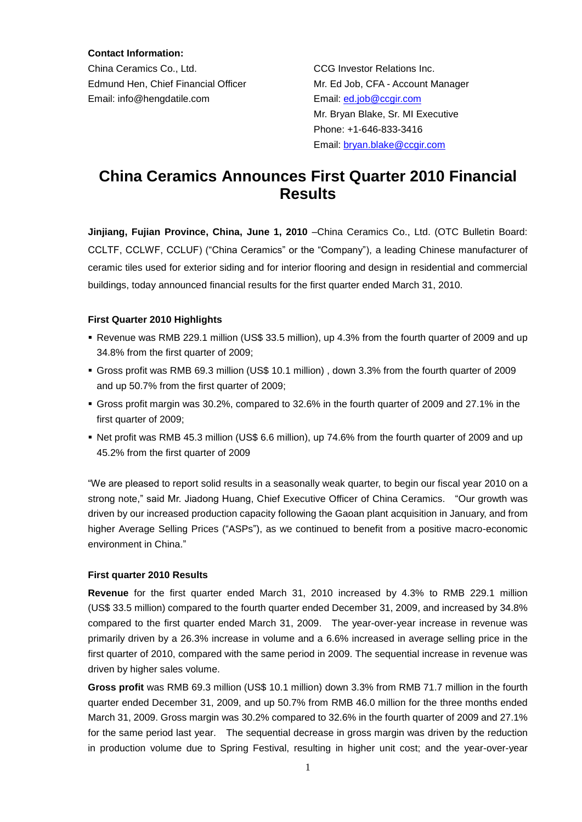**Contact Information:**

China Ceramics Co., Ltd. CCG Investor Relations Inc. Edmund Hen, Chief Financial Officer Mr. Ed Job, CFA - Account Manager Email: info@hengdatile.com Email: [ed.job@ccgir.com](mailto:ed.job@ccgir.com)

 Mr. Bryan Blake, Sr. MI Executive Phone: +1-646-833-3416 Email: [bryan.blake@ccgir.com](mailto:bryan.blake@ccgir.com)

# **China Ceramics Announces First Quarter 2010 Financial Results**

**Jinjiang, Fujian Province, China, June 1, 2010** –China Ceramics Co., Ltd. (OTC Bulletin Board: CCLTF, CCLWF, CCLUF) ("China Ceramics" or the "Company"), a leading Chinese manufacturer of ceramic tiles used for exterior siding and for interior flooring and design in residential and commercial buildings, today announced financial results for the first quarter ended March 31, 2010.

#### **First Quarter 2010 Highlights**

- Revenue was RMB 229.1 million (US\$ 33.5 million), up 4.3% from the fourth quarter of 2009 and up 34.8% from the first quarter of 2009;
- Gross profit was RMB 69.3 million (US\$ 10.1 million) , down 3.3% from the fourth quarter of 2009 and up 50.7% from the first quarter of 2009;
- Gross profit margin was 30.2%, compared to 32.6% in the fourth quarter of 2009 and 27.1% in the first quarter of 2009;
- Net profit was RMB 45.3 million (US\$ 6.6 million), up 74.6% from the fourth quarter of 2009 and up 45.2% from the first quarter of 2009

"We are pleased to report solid results in a seasonally weak quarter, to begin our fiscal year 2010 on a strong note," said Mr. Jiadong Huang, Chief Executive Officer of China Ceramics. "Our growth was driven by our increased production capacity following the Gaoan plant acquisition in January, and from higher Average Selling Prices ("ASPs"), as we continued to benefit from a positive macro-economic environment in China."

#### **First quarter 2010 Results**

**Revenue** for the first quarter ended March 31, 2010 increased by 4.3% to RMB 229.1 million (US\$ 33.5 million) compared to the fourth quarter ended December 31, 2009, and increased by 34.8% compared to the first quarter ended March 31, 2009. The year-over-year increase in revenue was primarily driven by a 26.3% increase in volume and a 6.6% increased in average selling price in the first quarter of 2010, compared with the same period in 2009. The sequential increase in revenue was driven by higher sales volume.

**Gross profit** was RMB 69.3 million (US\$ 10.1 million) down 3.3% from RMB 71.7 million in the fourth quarter ended December 31, 2009, and up 50.7% from RMB 46.0 million for the three months ended March 31, 2009. Gross margin was 30.2% compared to 32.6% in the fourth quarter of 2009 and 27.1% for the same period last year. The sequential decrease in gross margin was driven by the reduction in production volume due to Spring Festival, resulting in higher unit cost; and the year-over-year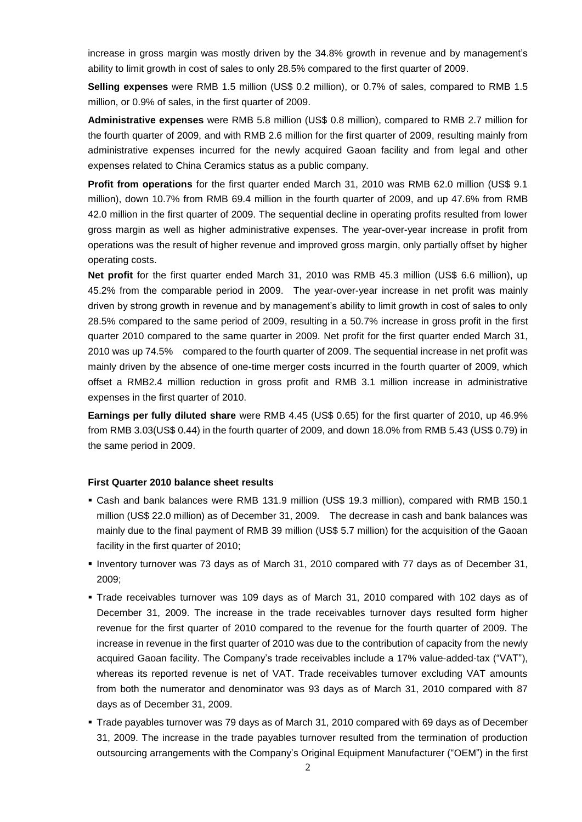increase in gross margin was mostly driven by the 34.8% growth in revenue and by management's ability to limit growth in cost of sales to only 28.5% compared to the first quarter of 2009.

**Selling expenses** were RMB 1.5 million (US\$ 0.2 million), or 0.7% of sales, compared to RMB 1.5 million, or 0.9% of sales, in the first quarter of 2009.

**Administrative expenses** were RMB 5.8 million (US\$ 0.8 million), compared to RMB 2.7 million for the fourth quarter of 2009, and with RMB 2.6 million for the first quarter of 2009, resulting mainly from administrative expenses incurred for the newly acquired Gaoan facility and from legal and other expenses related to China Ceramics status as a public company.

**Profit from operations** for the first quarter ended March 31, 2010 was RMB 62.0 million (US\$ 9.1 million), down 10.7% from RMB 69.4 million in the fourth quarter of 2009, and up 47.6% from RMB 42.0 million in the first quarter of 2009. The sequential decline in operating profits resulted from lower gross margin as well as higher administrative expenses. The year-over-year increase in profit from operations was the result of higher revenue and improved gross margin, only partially offset by higher operating costs.

**Net profit** for the first quarter ended March 31, 2010 was RMB 45.3 million (US\$ 6.6 million), up 45.2% from the comparable period in 2009. The year-over-year increase in net profit was mainly driven by strong growth in revenue and by management's ability to limit growth in cost of sales to only 28.5% compared to the same period of 2009, resulting in a 50.7% increase in gross profit in the first quarter 2010 compared to the same quarter in 2009. Net profit for the first quarter ended March 31, 2010 was up 74.5% compared to the fourth quarter of 2009. The sequential increase in net profit was mainly driven by the absence of one-time merger costs incurred in the fourth quarter of 2009, which offset a RMB2.4 million reduction in gross profit and RMB 3.1 million increase in administrative expenses in the first quarter of 2010.

**Earnings per fully diluted share** were RMB 4.45 (US\$ 0.65) for the first quarter of 2010, up 46.9% from RMB 3.03(US\$ 0.44) in the fourth quarter of 2009, and down 18.0% from RMB 5.43 (US\$ 0.79) in the same period in 2009.

#### **First Quarter 2010 balance sheet results**

- Cash and bank balances were RMB 131.9 million (US\$ 19.3 million), compared with RMB 150.1 million (US\$ 22.0 million) as of December 31, 2009. The decrease in cash and bank balances was mainly due to the final payment of RMB 39 million (US\$ 5.7 million) for the acquisition of the Gaoan facility in the first quarter of 2010;
- Inventory turnover was 73 days as of March 31, 2010 compared with 77 days as of December 31, 2009;
- Trade receivables turnover was 109 days as of March 31, 2010 compared with 102 days as of December 31, 2009. The increase in the trade receivables turnover days resulted form higher revenue for the first quarter of 2010 compared to the revenue for the fourth quarter of 2009. The increase in revenue in the first quarter of 2010 was due to the contribution of capacity from the newly acquired Gaoan facility. The Company's trade receivables include a 17% value-added-tax ("VAT"), whereas its reported revenue is net of VAT. Trade receivables turnover excluding VAT amounts from both the numerator and denominator was 93 days as of March 31, 2010 compared with 87 days as of December 31, 2009.
- Trade payables turnover was 79 days as of March 31, 2010 compared with 69 days as of December 31, 2009. The increase in the trade payables turnover resulted from the termination of production outsourcing arrangements with the Company's Original Equipment Manufacturer ("OEM") in the first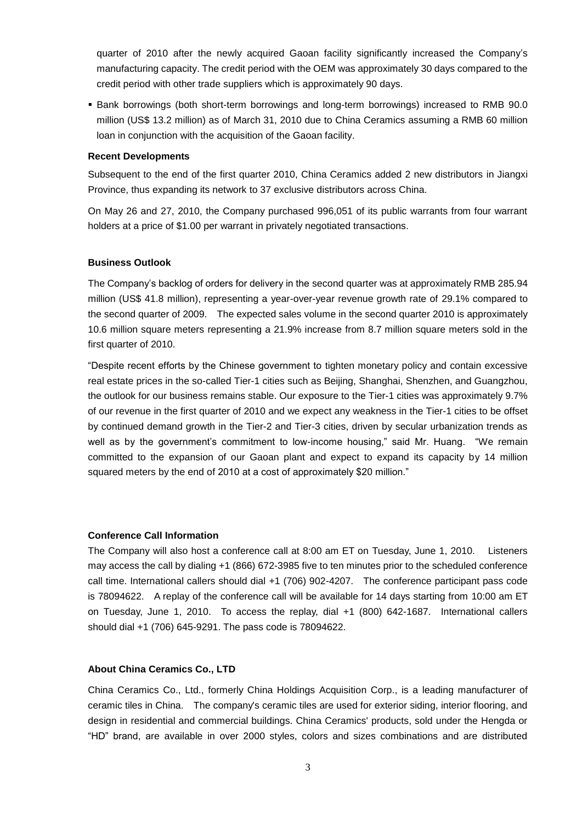quarter of 2010 after the newly acquired Gaoan facility significantly increased the Company's manufacturing capacity. The credit period with the OEM was approximately 30 days compared to the credit period with other trade suppliers which is approximately 90 days.

 Bank borrowings (both short-term borrowings and long-term borrowings) increased to RMB 90.0 million (US\$ 13.2 million) as of March 31, 2010 due to China Ceramics assuming a RMB 60 million loan in conjunction with the acquisition of the Gaoan facility.

#### **Recent Developments**

Subsequent to the end of the first quarter 2010, China Ceramics added 2 new distributors in Jiangxi Province, thus expanding its network to 37 exclusive distributors across China.

On May 26 and 27, 2010, the Company purchased 996,051 of its public warrants from four warrant holders at a price of \$1.00 per warrant in privately negotiated transactions.

#### **Business Outlook**

The Company's backlog of orders for delivery in the second quarter was at approximately RMB 285.94 million (US\$ 41.8 million), representing a year-over-year revenue growth rate of 29.1% compared to the second quarter of 2009. The expected sales volume in the second quarter 2010 is approximately 10.6 million square meters representing a 21.9% increase from 8.7 million square meters sold in the first quarter of 2010.

"Despite recent efforts by the Chinese government to tighten monetary policy and contain excessive real estate prices in the so-called Tier-1 cities such as Beijing, Shanghai, Shenzhen, and Guangzhou, the outlook for our business remains stable. Our exposure to the Tier-1 cities was approximately 9.7% of our revenue in the first quarter of 2010 and we expect any weakness in the Tier-1 cities to be offset by continued demand growth in the Tier-2 and Tier-3 cities, driven by secular urbanization trends as well as by the government's commitment to low-income housing," said Mr. Huang. "We remain committed to the expansion of our Gaoan plant and expect to expand its capacity by 14 million squared meters by the end of 2010 at a cost of approximately \$20 million."

#### **Conference Call Information**

The Company will also host a conference call at 8:00 am ET on Tuesday, June 1, 2010. Listeners may access the call by dialing +1 (866) 672-3985 five to ten minutes prior to the scheduled conference call time. International callers should dial +1 (706) 902-4207. The conference participant pass code is 78094622. A replay of the conference call will be available for 14 days starting from 10:00 am ET on Tuesday, June 1, 2010. To access the replay, dial +1 (800) 642-1687. International callers should dial +1 (706) 645-9291. The pass code is 78094622.

### **About China Ceramics Co., LTD**

China Ceramics Co., Ltd., formerly China Holdings Acquisition Corp., is a leading manufacturer of ceramic tiles in China. The company's ceramic tiles are used for exterior siding, interior flooring, and design in residential and commercial buildings. China Ceramics' products, sold under the Hengda or "HD" brand, are available in over 2000 styles, colors and sizes combinations and are distributed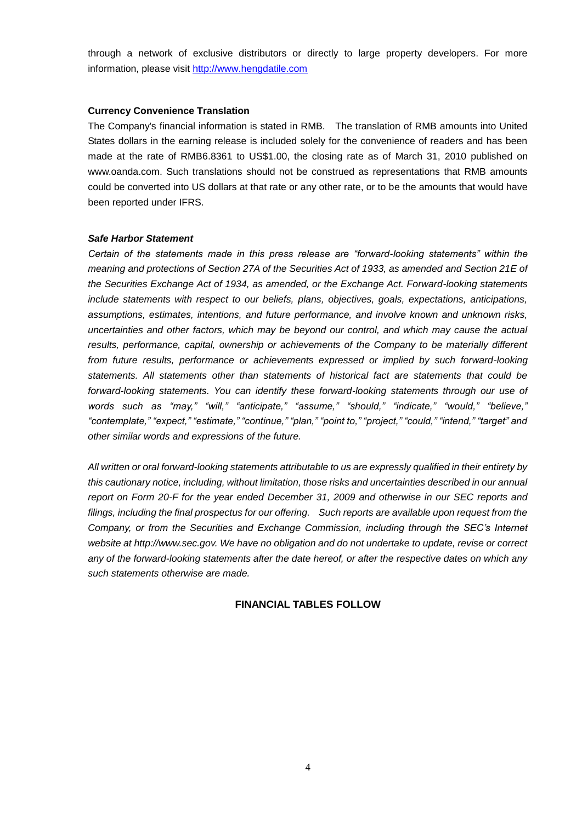through a network of exclusive distributors or directly to large property developers. For more information, please visit [http://www.hengdatile.com](http://www.hengdatile.com/)

#### **Currency Convenience Translation**

The Company's financial information is stated in RMB. The translation of RMB amounts into United States dollars in the earning release is included solely for the convenience of readers and has been made at the rate of RMB6.8361 to US\$1.00, the closing rate as of March 31, 2010 published on www.oanda.com. Such translations should not be construed as representations that RMB amounts could be converted into US dollars at that rate or any other rate, or to be the amounts that would have been reported under IFRS.

#### *Safe Harbor Statement*

*Certain of the statements made in this press release are "forward-looking statements" within the meaning and protections of Section 27A of the Securities Act of 1933, as amended and Section 21E of the Securities Exchange Act of 1934, as amended, or the Exchange Act. Forward-looking statements include statements with respect to our beliefs, plans, objectives, goals, expectations, anticipations, assumptions, estimates, intentions, and future performance, and involve known and unknown risks, uncertainties and other factors, which may be beyond our control, and which may cause the actual results, performance, capital, ownership or achievements of the Company to be materially different from future results, performance or achievements expressed or implied by such forward-looking statements. All statements other than statements of historical fact are statements that could be forward-looking statements. You can identify these forward-looking statements through our use of words such as "may," "will," "anticipate," "assume," "should," "indicate," "would," "believe," "contemplate," "expect," "estimate," "continue," "plan," "point to," "project," "could," "intend," "target" and other similar words and expressions of the future.* 

*All written or oral forward-looking statements attributable to us are expressly qualified in their entirety by this cautionary notice, including, without limitation, those risks and uncertainties described in our annual report on Form 20-F for the year ended December 31, 2009 and otherwise in our SEC reports and filings, including the final prospectus for our offering. Such reports are available upon request from the Company, or from the Securities and Exchange Commission, including through the SEC's Internet website at http://www.sec.gov. We have no obligation and do not undertake to update, revise or correct any of the forward-looking statements after the date hereof, or after the respective dates on which any such statements otherwise are made.*

### **FINANCIAL TABLES FOLLOW**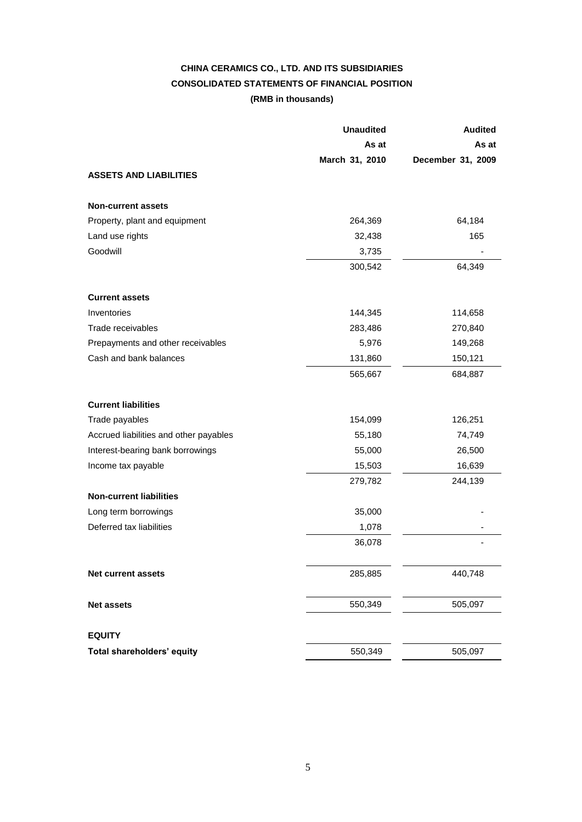## **CHINA CERAMICS CO., LTD. AND ITS SUBSIDIARIES CONSOLIDATED STATEMENTS OF FINANCIAL POSITION (RMB in thousands)**

|                                        | <b>Unaudited</b> | <b>Audited</b>    |  |
|----------------------------------------|------------------|-------------------|--|
|                                        | As at            | As at             |  |
|                                        | March 31, 2010   | December 31, 2009 |  |
| <b>ASSETS AND LIABILITIES</b>          |                  |                   |  |
| <b>Non-current assets</b>              |                  |                   |  |
| Property, plant and equipment          | 264,369          | 64,184            |  |
| Land use rights                        | 32,438           | 165               |  |
| Goodwill                               | 3,735            |                   |  |
|                                        | 300,542          | 64,349            |  |
| <b>Current assets</b>                  |                  |                   |  |
| Inventories                            | 144,345          | 114,658           |  |
| Trade receivables                      | 283,486          | 270,840           |  |
| Prepayments and other receivables      | 5,976            | 149,268           |  |
| Cash and bank balances                 | 131,860          | 150,121           |  |
|                                        | 565,667          | 684,887           |  |
| <b>Current liabilities</b>             |                  |                   |  |
| Trade payables                         | 154,099          | 126,251           |  |
| Accrued liabilities and other payables | 55,180           | 74,749            |  |
| Interest-bearing bank borrowings       | 55,000           | 26,500            |  |
| Income tax payable                     | 15,503           | 16,639            |  |
|                                        | 279,782          | 244,139           |  |
| <b>Non-current liabilities</b>         |                  |                   |  |
| Long term borrowings                   | 35,000           |                   |  |
| Deferred tax liabilities               | 1,078            |                   |  |
|                                        | 36,078           |                   |  |
| Net current assets                     | 285,885          | 440,748           |  |
| <b>Net assets</b>                      | 550,349          | 505,097           |  |
| <b>EQUITY</b>                          |                  |                   |  |
| <b>Total shareholders' equity</b>      | 550,349          | 505,097           |  |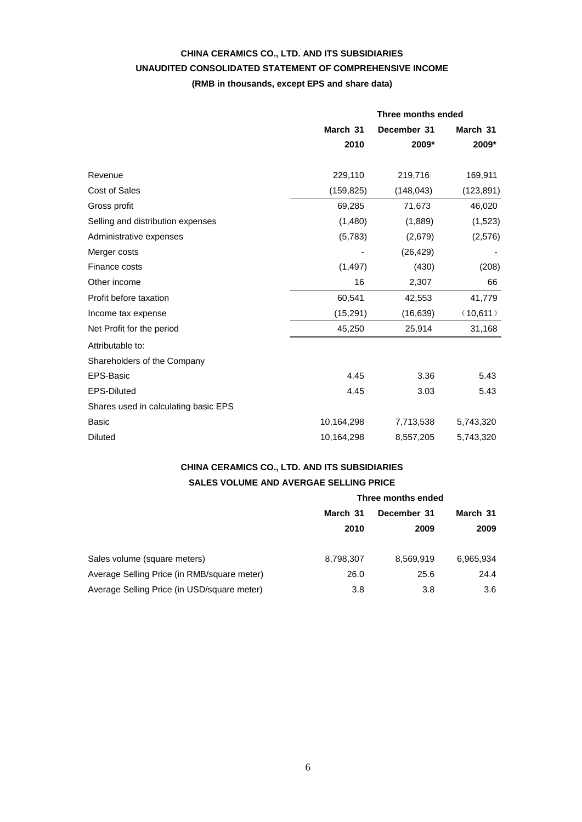### **CHINA CERAMICS CO., LTD. AND ITS SUBSIDIARIES UNAUDITED CONSOLIDATED STATEMENT OF COMPREHENSIVE INCOME (RMB in thousands, except EPS and share data)**

|                                      | Three months ended |             |            |
|--------------------------------------|--------------------|-------------|------------|
|                                      | March 31           | December 31 | March 31   |
|                                      | 2010               | 2009*       | 2009*      |
| Revenue                              | 229,110            | 219,716     | 169,911    |
| <b>Cost of Sales</b>                 | (159, 825)         | (148, 043)  | (123, 891) |
| Gross profit                         | 69,285             | 71,673      | 46,020     |
| Selling and distribution expenses    | (1,480)            | (1,889)     | (1,523)    |
| Administrative expenses              | (5,783)            | (2,679)     | (2,576)    |
| Merger costs                         |                    | (26, 429)   |            |
| Finance costs                        | (1, 497)           | (430)       | (208)      |
| Other income                         | 16                 | 2,307       | 66         |
| Profit before taxation               | 60,541             | 42,553      | 41,779     |
| Income tax expense                   | (15, 291)          | (16, 639)   | (10,611)   |
| Net Profit for the period            | 45,250             | 25,914      | 31,168     |
| Attributable to:                     |                    |             |            |
| Shareholders of the Company          |                    |             |            |
| <b>EPS-Basic</b>                     | 4.45               | 3.36        | 5.43       |
| <b>EPS-Diluted</b>                   | 4.45               | 3.03        | 5.43       |
| Shares used in calculating basic EPS |                    |             |            |
| <b>Basic</b>                         | 10,164,298         | 7,713,538   | 5,743,320  |
| <b>Diluted</b>                       | 10,164,298         | 8,557,205   | 5,743,320  |

### **CHINA CERAMICS CO., LTD. AND ITS SUBSIDIARIES SALES VOLUME AND AVERGAE SELLING PRICE**

|                                             | Three months ended |                     |                  |
|---------------------------------------------|--------------------|---------------------|------------------|
|                                             | March 31<br>2010   | December 31<br>2009 | March 31<br>2009 |
| Sales volume (square meters)                | 8,798,307          | 8,569,919           | 6,965,934        |
| Average Selling Price (in RMB/square meter) | 26.0               | 25.6                | 24.4             |
| Average Selling Price (in USD/square meter) | 3.8                | 3.8                 | 3.6              |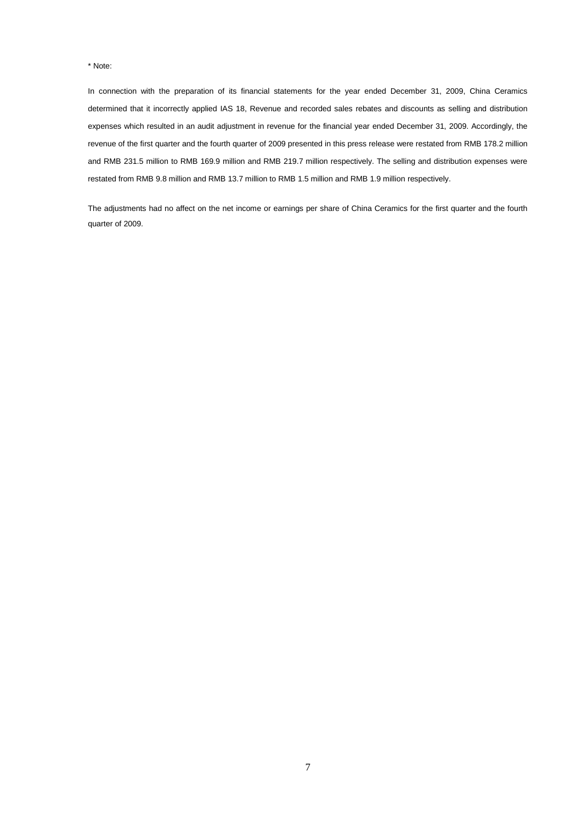#### \* Note:

In connection with the preparation of its financial statements for the year ended December 31, 2009, China Ceramics determined that it incorrectly applied IAS 18, Revenue and recorded sales rebates and discounts as selling and distribution expenses which resulted in an audit adjustment in revenue for the financial year ended December 31, 2009. Accordingly, the revenue of the first quarter and the fourth quarter of 2009 presented in this press release were restated from RMB 178.2 million and RMB 231.5 million to RMB 169.9 million and RMB 219.7 million respectively. The selling and distribution expenses were restated from RMB 9.8 million and RMB 13.7 million to RMB 1.5 million and RMB 1.9 million respectively.

The adjustments had no affect on the net income or earnings per share of China Ceramics for the first quarter and the fourth quarter of 2009.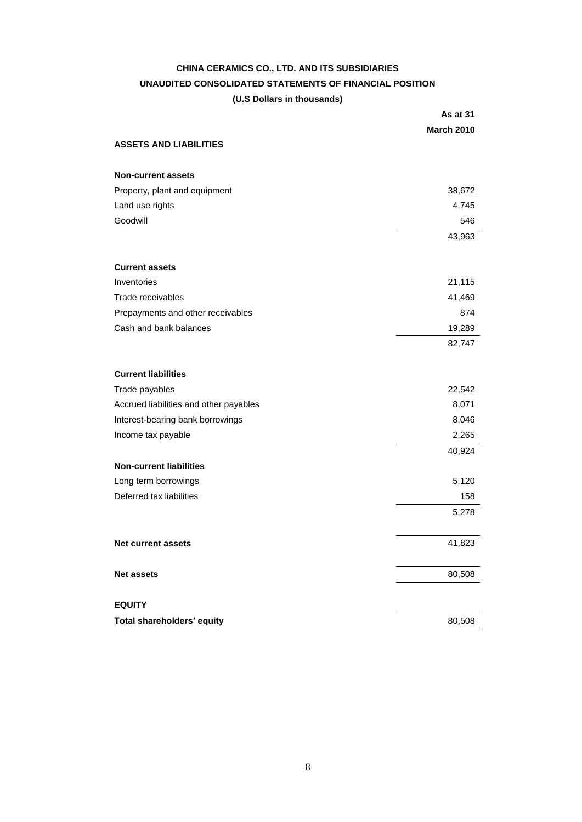### **CHINA CERAMICS CO., LTD. AND ITS SUBSIDIARIES UNAUDITED CONSOLIDATED STATEMENTS OF FINANCIAL POSITION (U.S Dollars in thousands)**

|                                        | As at 31          |
|----------------------------------------|-------------------|
|                                        | <b>March 2010</b> |
| <b>ASSETS AND LIABILITIES</b>          |                   |
| <b>Non-current assets</b>              |                   |
| Property, plant and equipment          | 38,672            |
| Land use rights                        | 4,745             |
| Goodwill                               | 546               |
|                                        | 43,963            |
| <b>Current assets</b>                  |                   |
| Inventories                            | 21,115            |
| Trade receivables                      | 41,469            |
| Prepayments and other receivables      | 874               |
| Cash and bank balances                 | 19,289            |
|                                        | 82,747            |
| <b>Current liabilities</b>             |                   |
| Trade payables                         | 22,542            |
| Accrued liabilities and other payables | 8,071             |
| Interest-bearing bank borrowings       | 8,046             |
| Income tax payable                     | 2,265             |
|                                        | 40,924            |
| <b>Non-current liabilities</b>         |                   |
| Long term borrowings                   | 5,120             |
| Deferred tax liabilities               | 158               |
|                                        | 5,278             |
| Net current assets                     | 41,823            |
| <b>Net assets</b>                      | 80,508            |
| <b>EQUITY</b>                          |                   |
| Total shareholders' equity             | 80,508            |